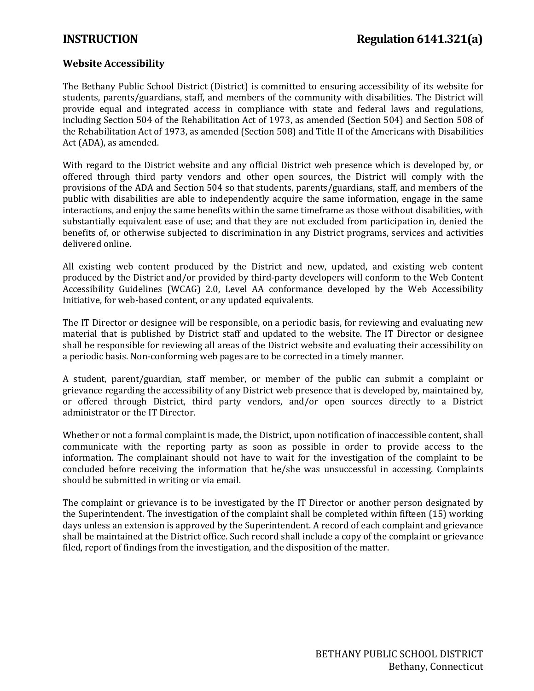## **Website Accessibility**

The Bethany Public School District (District) is committed to ensuring accessibility of its website for students, parents/guardians, staff, and members of the community with disabilities. The District will provide equal and integrated access in compliance with state and federal laws and regulations, including Section 504 of the Rehabilitation Act of 1973, as amended (Section 504) and Section 508 of the Rehabilitation Act of 1973, as amended (Section 508) and Title II of the Americans with Disabilities Act (ADA), as amended.

With regard to the District website and any official District web presence which is developed by, or offered through third party vendors and other open sources, the District will comply with the provisions of the ADA and Section 504 so that students, parents/guardians, staff, and members of the public with disabilities are able to independently acquire the same information, engage in the same interactions, and enjoy the same benefits within the same timeframe as those without disabilities, with substantially equivalent ease of use; and that they are not excluded from participation in, denied the benefits of, or otherwise subjected to discrimination in any District programs, services and activities delivered online.

All existing web content produced by the District and new, updated, and existing web content produced by the District and/or provided by third-party developers will conform to the Web Content Accessibility Guidelines (WCAG) 2.0, Level AA conformance developed by the Web Accessibility Initiative, for web-based content, or any updated equivalents.

The IT Director or designee will be responsible, on a periodic basis, for reviewing and evaluating new material that is published by District staff and updated to the website. The IT Director or designee shall be responsible for reviewing all areas of the District website and evaluating their accessibility on a periodic basis. Non-conforming web pages are to be corrected in a timely manner.

A student, parent/guardian, staff member, or member of the public can submit a complaint or grievance regarding the accessibility of any District web presence that is developed by, maintained by, or offered through District, third party vendors, and/or open sources directly to a District administrator or the IT Director.

Whether or not a formal complaint is made, the District, upon notification of inaccessible content, shall communicate with the reporting party as soon as possible in order to provide access to the information. The complainant should not have to wait for the investigation of the complaint to be concluded before receiving the information that he/she was unsuccessful in accessing. Complaints should be submitted in writing or via email.

The complaint or grievance is to be investigated by the IT Director or another person designated by the Superintendent. The investigation of the complaint shall be completed within fifteen (15) working days unless an extension is approved by the Superintendent. A record of each complaint and grievance shall be maintained at the District office. Such record shall include a copy of the complaint or grievance filed, report of findings from the investigation, and the disposition of the matter.